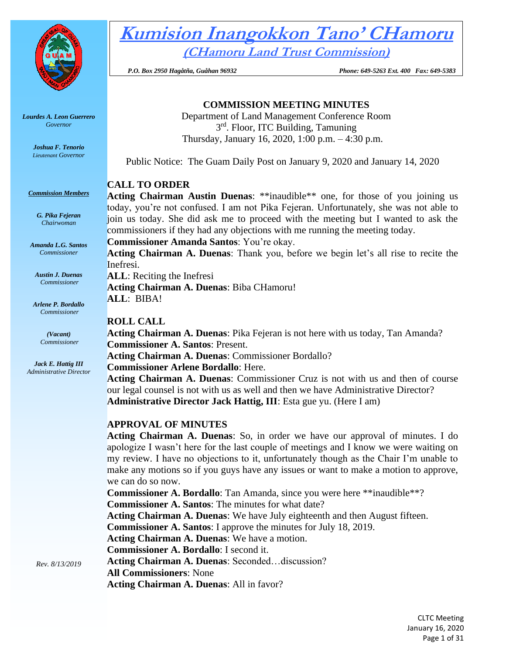

*Lourdes A. Leon Guerrero Governor* 

> *Joshua F. Tenorio Lieutenant Governor*

*Commission Members*

*G. Pika Fejeran Chairwoman*

*Amanda L.G. Santos Commissioner*

*Austin J. Duenas Commissioner*

*Arlene P. Bordallo Commissioner*

> *(Vacant) Commissioner*

*Jack E. Hattig III Administrative Director*

*Rev. 8/13/2019*

**Kumision Inangokkon Tano' CHamoru (CHamoru Land Trust Commission)**

 *P.O. Box 2950 Hagåtña, Guåhan 96932 Phone: 649-5263 Ext. 400 Fax: 649-5383*

## **COMMISSION MEETING MINUTES**

Department of Land Management Conference Room 3rd. Floor, ITC Building, Tamuning Thursday, January 16, 2020, 1:00 p.m. – 4:30 p.m.

Public Notice: The Guam Daily Post on January 9, 2020 and January 14, 2020

## **CALL TO ORDER**

**Acting Chairman Austin Duenas**: \*\*inaudible\*\* one, for those of you joining us today, you're not confused. I am not Pika Fejeran. Unfortunately, she was not able to join us today. She did ask me to proceed with the meeting but I wanted to ask the commissioners if they had any objections with me running the meeting today.

**Commissioner Amanda Santos**: You're okay.

**Acting Chairman A. Duenas**: Thank you, before we begin let's all rise to recite the Inefresi.

**ALL**: Reciting the Inefresi

**Acting Chairman A. Duenas**: Biba CHamoru! **ALL**: BIBA!

# **ROLL CALL**

**Acting Chairman A. Duenas**: Pika Fejeran is not here with us today, Tan Amanda? **Commissioner A. Santos**: Present.

**Acting Chairman A. Duenas**: Commissioner Bordallo?

**Commissioner Arlene Bordallo**: Here.

**Acting Chairman A. Duenas**: Commissioner Cruz is not with us and then of course our legal counsel is not with us as well and then we have Administrative Director? **Administrative Director Jack Hattig, III**: Esta gue yu. (Here I am)

# **APPROVAL OF MINUTES**

**Acting Chairman A. Duenas**: So, in order we have our approval of minutes. I do apologize I wasn't here for the last couple of meetings and I know we were waiting on my review. I have no objections to it, unfortunately though as the Chair I'm unable to make any motions so if you guys have any issues or want to make a motion to approve, we can do so now.

**Commissioner A. Bordallo**: Tan Amanda, since you were here \*\*inaudible\*\*? **Commissioner A. Santos**: The minutes for what date? **Acting Chairman A. Duenas**: We have July eighteenth and then August fifteen. **Commissioner A. Santos**: I approve the minutes for July 18, 2019. **Acting Chairman A. Duenas**: We have a motion. **Commissioner A. Bordallo**: I second it. **Acting Chairman A. Duenas**: Seconded…discussion? **All Commissioners**: None

**Acting Chairman A. Duenas**: All in favor?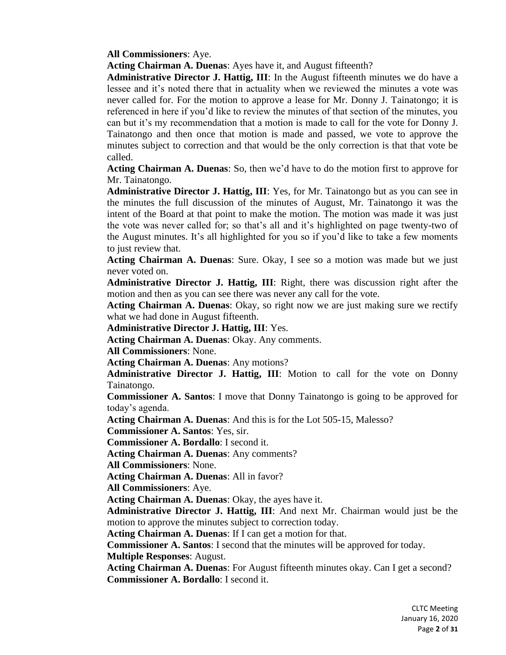### **All Commissioners**: Aye.

**Acting Chairman A. Duenas**: Ayes have it, and August fifteenth?

**Administrative Director J. Hattig, III**: In the August fifteenth minutes we do have a lessee and it's noted there that in actuality when we reviewed the minutes a vote was never called for. For the motion to approve a lease for Mr. Donny J. Tainatongo; it is referenced in here if you'd like to review the minutes of that section of the minutes, you can but it's my recommendation that a motion is made to call for the vote for Donny J. Tainatongo and then once that motion is made and passed, we vote to approve the minutes subject to correction and that would be the only correction is that that vote be called.

**Acting Chairman A. Duenas**: So, then we'd have to do the motion first to approve for Mr. Tainatongo.

**Administrative Director J. Hattig, III**: Yes, for Mr. Tainatongo but as you can see in the minutes the full discussion of the minutes of August, Mr. Tainatongo it was the intent of the Board at that point to make the motion. The motion was made it was just the vote was never called for; so that's all and it's highlighted on page twenty-two of the August minutes. It's all highlighted for you so if you'd like to take a few moments to just review that.

**Acting Chairman A. Duenas**: Sure. Okay, I see so a motion was made but we just never voted on.

**Administrative Director J. Hattig, III**: Right, there was discussion right after the motion and then as you can see there was never any call for the vote.

**Acting Chairman A. Duenas**: Okay, so right now we are just making sure we rectify what we had done in August fifteenth.

**Administrative Director J. Hattig, III**: Yes.

**Acting Chairman A. Duenas**: Okay. Any comments.

**All Commissioners**: None.

**Acting Chairman A. Duenas**: Any motions?

**Administrative Director J. Hattig, III**: Motion to call for the vote on Donny Tainatongo.

**Commissioner A. Santos**: I move that Donny Tainatongo is going to be approved for today's agenda.

**Acting Chairman A. Duenas**: And this is for the Lot 505-15, Malesso?

**Commissioner A. Santos**: Yes, sir.

**Commissioner A. Bordallo**: I second it.

**Acting Chairman A. Duenas**: Any comments?

**All Commissioners**: None.

**Acting Chairman A. Duenas**: All in favor?

**All Commissioners**: Aye.

**Acting Chairman A. Duenas**: Okay, the ayes have it.

**Administrative Director J. Hattig, III**: And next Mr. Chairman would just be the motion to approve the minutes subject to correction today.

**Acting Chairman A. Duenas**: If I can get a motion for that.

**Commissioner A. Santos**: I second that the minutes will be approved for today.

**Multiple Responses**: August.

**Acting Chairman A. Duenas**: For August fifteenth minutes okay. Can I get a second? **Commissioner A. Bordallo**: I second it.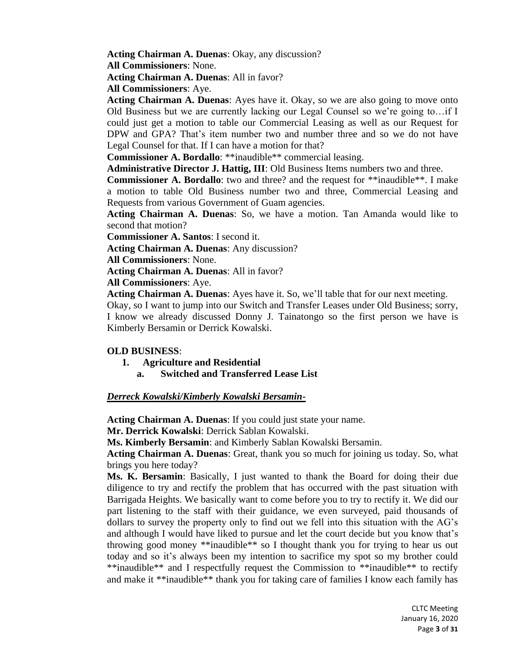**Acting Chairman A. Duenas**: Okay, any discussion?

**All Commissioners**: None.

**Acting Chairman A. Duenas**: All in favor?

**All Commissioners**: Aye.

**Acting Chairman A. Duenas**: Ayes have it. Okay, so we are also going to move onto Old Business but we are currently lacking our Legal Counsel so we're going to…if I could just get a motion to table our Commercial Leasing as well as our Request for DPW and GPA? That's item number two and number three and so we do not have Legal Counsel for that. If I can have a motion for that?

**Commissioner A. Bordallo**: \*\*inaudible\*\* commercial leasing.

**Administrative Director J. Hattig, III**: Old Business Items numbers two and three.

**Commissioner A. Bordallo**: two and three? and the request for \*\*inaudible\*\*. I make a motion to table Old Business number two and three, Commercial Leasing and Requests from various Government of Guam agencies.

**Acting Chairman A. Duenas**: So, we have a motion. Tan Amanda would like to second that motion?

**Commissioner A. Santos**: I second it.

**Acting Chairman A. Duenas**: Any discussion?

**All Commissioners**: None.

**Acting Chairman A. Duenas**: All in favor?

**All Commissioners**: Aye.

**Acting Chairman A. Duenas**: Ayes have it. So, we'll table that for our next meeting.

Okay, so I want to jump into our Switch and Transfer Leases under Old Business; sorry, I know we already discussed Donny J. Tainatongo so the first person we have is Kimberly Bersamin or Derrick Kowalski.

## **OLD BUSINESS**:

- **1. Agriculture and Residential**
	- **a. Switched and Transferred Lease List**

*Derreck Kowalski/Kimberly Kowalski Bersamin-*

**Acting Chairman A. Duenas**: If you could just state your name.

**Mr. Derrick Kowalski**: Derrick Sablan Kowalski.

**Ms. Kimberly Bersamin**: and Kimberly Sablan Kowalski Bersamin.

**Acting Chairman A. Duenas**: Great, thank you so much for joining us today. So, what brings you here today?

**Ms. K. Bersamin**: Basically, I just wanted to thank the Board for doing their due diligence to try and rectify the problem that has occurred with the past situation with Barrigada Heights. We basically want to come before you to try to rectify it. We did our part listening to the staff with their guidance, we even surveyed, paid thousands of dollars to survey the property only to find out we fell into this situation with the AG's and although I would have liked to pursue and let the court decide but you know that's throwing good money \*\*inaudible\*\* so I thought thank you for trying to hear us out today and so it's always been my intention to sacrifice my spot so my brother could \*\*inaudible\*\* and I respectfully request the Commission to \*\*inaudible\*\* to rectify and make it \*\*inaudible\*\* thank you for taking care of families I know each family has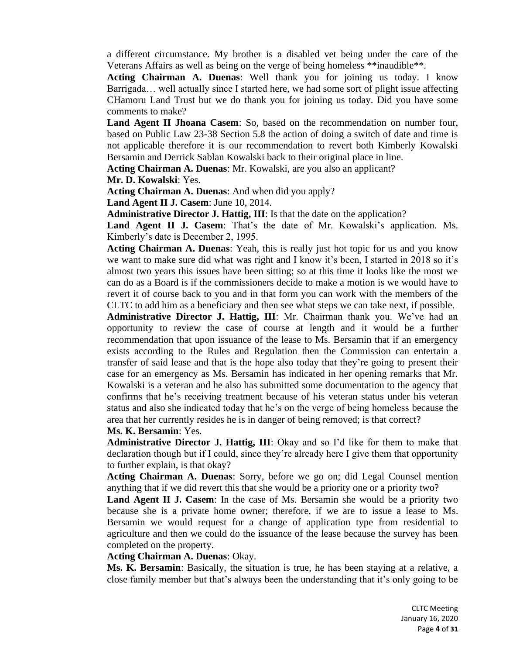a different circumstance. My brother is a disabled vet being under the care of the Veterans Affairs as well as being on the verge of being homeless \*\*inaudible\*\*.

**Acting Chairman A. Duenas**: Well thank you for joining us today. I know Barrigada… well actually since I started here, we had some sort of plight issue affecting CHamoru Land Trust but we do thank you for joining us today. Did you have some comments to make?

**Land Agent II Jhoana Casem**: So, based on the recommendation on number four, based on Public Law 23-38 Section 5.8 the action of doing a switch of date and time is not applicable therefore it is our recommendation to revert both Kimberly Kowalski Bersamin and Derrick Sablan Kowalski back to their original place in line.

**Acting Chairman A. Duenas**: Mr. Kowalski, are you also an applicant?

**Mr. D. Kowalski**: Yes.

**Acting Chairman A. Duenas**: And when did you apply?

**Land Agent II J. Casem**: June 10, 2014.

**Administrative Director J. Hattig, III**: Is that the date on the application?

**Land Agent II J. Casem**: That's the date of Mr. Kowalski's application. Ms. Kimberly's date is December 2, 1995.

**Acting Chairman A. Duenas**: Yeah, this is really just hot topic for us and you know we want to make sure did what was right and I know it's been, I started in 2018 so it's almost two years this issues have been sitting; so at this time it looks like the most we can do as a Board is if the commissioners decide to make a motion is we would have to revert it of course back to you and in that form you can work with the members of the CLTC to add him as a beneficiary and then see what steps we can take next, if possible.

**Administrative Director J. Hattig, III**: Mr. Chairman thank you. We've had an opportunity to review the case of course at length and it would be a further recommendation that upon issuance of the lease to Ms. Bersamin that if an emergency exists according to the Rules and Regulation then the Commission can entertain a transfer of said lease and that is the hope also today that they're going to present their case for an emergency as Ms. Bersamin has indicated in her opening remarks that Mr. Kowalski is a veteran and he also has submitted some documentation to the agency that confirms that he's receiving treatment because of his veteran status under his veteran status and also she indicated today that he's on the verge of being homeless because the area that her currently resides he is in danger of being removed; is that correct?

**Ms. K. Bersamin**: Yes.

**Administrative Director J. Hattig, III**: Okay and so I'd like for them to make that declaration though but if I could, since they're already here I give them that opportunity to further explain, is that okay?

**Acting Chairman A. Duenas**: Sorry, before we go on; did Legal Counsel mention anything that if we did revert this that she would be a priority one or a priority two?

**Land Agent II J. Casem**: In the case of Ms. Bersamin she would be a priority two because she is a private home owner; therefore, if we are to issue a lease to Ms. Bersamin we would request for a change of application type from residential to agriculture and then we could do the issuance of the lease because the survey has been completed on the property.

**Acting Chairman A. Duenas**: Okay.

**Ms. K. Bersamin**: Basically, the situation is true, he has been staying at a relative, a close family member but that's always been the understanding that it's only going to be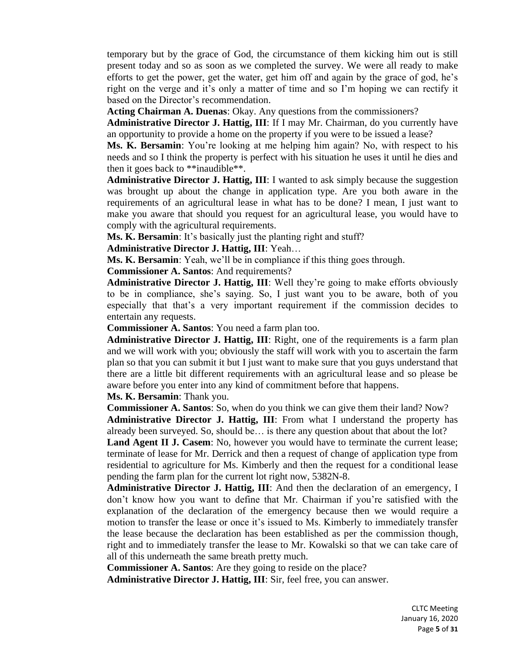temporary but by the grace of God, the circumstance of them kicking him out is still present today and so as soon as we completed the survey. We were all ready to make efforts to get the power, get the water, get him off and again by the grace of god, he's right on the verge and it's only a matter of time and so I'm hoping we can rectify it based on the Director's recommendation.

**Acting Chairman A. Duenas**: Okay. Any questions from the commissioners?

**Administrative Director J. Hattig, III**: If I may Mr. Chairman, do you currently have an opportunity to provide a home on the property if you were to be issued a lease?

**Ms. K. Bersamin**: You're looking at me helping him again? No, with respect to his needs and so I think the property is perfect with his situation he uses it until he dies and then it goes back to \*\*inaudible\*\*.

**Administrative Director J. Hattig, III**: I wanted to ask simply because the suggestion was brought up about the change in application type. Are you both aware in the requirements of an agricultural lease in what has to be done? I mean, I just want to make you aware that should you request for an agricultural lease, you would have to comply with the agricultural requirements.

**Ms. K. Bersamin**: It's basically just the planting right and stuff?

**Administrative Director J. Hattig, III**: Yeah…

**Ms. K. Bersamin**: Yeah, we'll be in compliance if this thing goes through.

**Commissioner A. Santos**: And requirements?

**Administrative Director J. Hattig, III**: Well they're going to make efforts obviously to be in compliance, she's saying. So, I just want you to be aware, both of you especially that that's a very important requirement if the commission decides to entertain any requests.

**Commissioner A. Santos**: You need a farm plan too.

**Administrative Director J. Hattig, III**: Right, one of the requirements is a farm plan and we will work with you; obviously the staff will work with you to ascertain the farm plan so that you can submit it but I just want to make sure that you guys understand that there are a little bit different requirements with an agricultural lease and so please be aware before you enter into any kind of commitment before that happens.

**Ms. K. Bersamin**: Thank you.

**Commissioner A. Santos**: So, when do you think we can give them their land? Now? **Administrative Director J. Hattig, III**: From what I understand the property has already been surveyed. So, should be… is there any question about that about the lot?

**Land Agent II J. Casem**: No, however you would have to terminate the current lease; terminate of lease for Mr. Derrick and then a request of change of application type from residential to agriculture for Ms. Kimberly and then the request for a conditional lease pending the farm plan for the current lot right now, 5382N-8.

**Administrative Director J. Hattig, III**: And then the declaration of an emergency, I don't know how you want to define that Mr. Chairman if you're satisfied with the explanation of the declaration of the emergency because then we would require a motion to transfer the lease or once it's issued to Ms. Kimberly to immediately transfer the lease because the declaration has been established as per the commission though, right and to immediately transfer the lease to Mr. Kowalski so that we can take care of all of this underneath the same breath pretty much.

**Commissioner A. Santos**: Are they going to reside on the place?

**Administrative Director J. Hattig, III**: Sir, feel free, you can answer.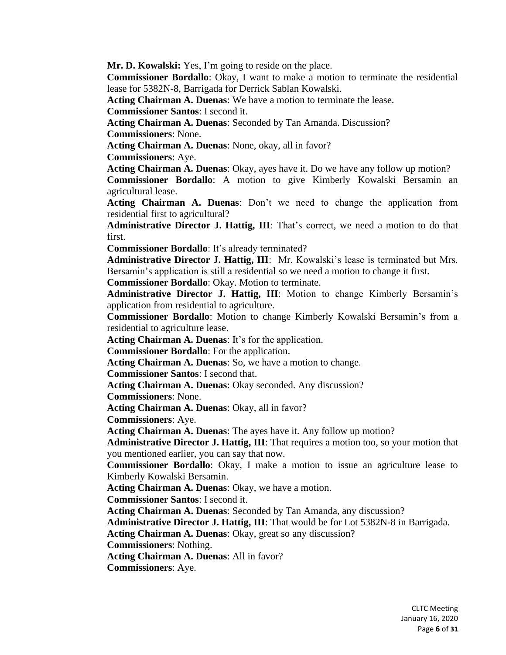**Mr. D. Kowalski:** Yes, I'm going to reside on the place.

**Commissioner Bordallo**: Okay, I want to make a motion to terminate the residential lease for 5382N-8, Barrigada for Derrick Sablan Kowalski.

**Acting Chairman A. Duenas**: We have a motion to terminate the lease.

**Commissioner Santos**: I second it.

**Acting Chairman A. Duenas**: Seconded by Tan Amanda. Discussion?

**Commissioners**: None.

**Acting Chairman A. Duenas**: None, okay, all in favor?

**Commissioners**: Aye.

**Acting Chairman A. Duenas**: Okay, ayes have it. Do we have any follow up motion?

**Commissioner Bordallo**: A motion to give Kimberly Kowalski Bersamin an agricultural lease.

**Acting Chairman A. Duenas**: Don't we need to change the application from residential first to agricultural?

**Administrative Director J. Hattig, III**: That's correct, we need a motion to do that first.

**Commissioner Bordallo**: It's already terminated?

**Administrative Director J. Hattig, III**: Mr. Kowalski's lease is terminated but Mrs. Bersamin's application is still a residential so we need a motion to change it first.

**Commissioner Bordallo**: Okay. Motion to terminate.

**Administrative Director J. Hattig, III**: Motion to change Kimberly Bersamin's application from residential to agriculture.

**Commissioner Bordallo**: Motion to change Kimberly Kowalski Bersamin's from a residential to agriculture lease.

**Acting Chairman A. Duenas**: It's for the application.

**Commissioner Bordallo**: For the application.

**Acting Chairman A. Duenas**: So, we have a motion to change.

**Commissioner Santos**: I second that.

**Acting Chairman A. Duenas**: Okay seconded. Any discussion?

**Commissioners**: None.

**Acting Chairman A. Duenas**: Okay, all in favor?

**Commissioners**: Aye.

**Acting Chairman A. Duenas**: The ayes have it. Any follow up motion?

**Administrative Director J. Hattig, III**: That requires a motion too, so your motion that you mentioned earlier, you can say that now.

**Commissioner Bordallo**: Okay, I make a motion to issue an agriculture lease to Kimberly Kowalski Bersamin.

**Acting Chairman A. Duenas**: Okay, we have a motion.

**Commissioner Santos**: I second it.

**Acting Chairman A. Duenas**: Seconded by Tan Amanda, any discussion?

**Administrative Director J. Hattig, III**: That would be for Lot 5382N-8 in Barrigada.

**Acting Chairman A. Duenas**: Okay, great so any discussion?

**Commissioners**: Nothing.

**Acting Chairman A. Duenas**: All in favor?

**Commissioners**: Aye.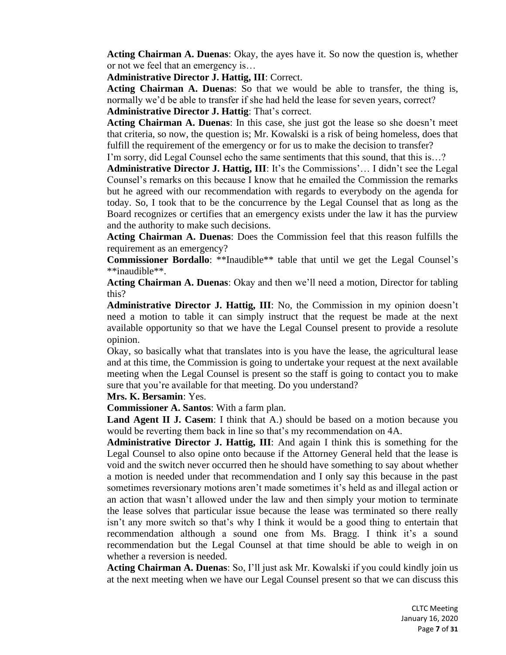**Acting Chairman A. Duenas**: Okay, the ayes have it. So now the question is, whether or not we feel that an emergency is…

**Administrative Director J. Hattig, III**: Correct.

**Acting Chairman A. Duenas**: So that we would be able to transfer, the thing is, normally we'd be able to transfer if she had held the lease for seven years, correct? **Administrative Director J. Hattig**: That's correct.

**Acting Chairman A. Duenas**: In this case, she just got the lease so she doesn't meet that criteria, so now, the question is; Mr. Kowalski is a risk of being homeless, does that fulfill the requirement of the emergency or for us to make the decision to transfer?

I'm sorry, did Legal Counsel echo the same sentiments that this sound, that this is…?

**Administrative Director J. Hattig, III**: It's the Commissions'… I didn't see the Legal Counsel's remarks on this because I know that he emailed the Commission the remarks but he agreed with our recommendation with regards to everybody on the agenda for today. So, I took that to be the concurrence by the Legal Counsel that as long as the Board recognizes or certifies that an emergency exists under the law it has the purview and the authority to make such decisions.

**Acting Chairman A. Duenas**: Does the Commission feel that this reason fulfills the requirement as an emergency?

**Commissioner Bordallo:** \*\*Inaudible\*\* table that until we get the Legal Counsel's \*\*inaudible\*\*.

**Acting Chairman A. Duenas**: Okay and then we'll need a motion, Director for tabling this?

**Administrative Director J. Hattig, III**: No, the Commission in my opinion doesn't need a motion to table it can simply instruct that the request be made at the next available opportunity so that we have the Legal Counsel present to provide a resolute opinion.

Okay, so basically what that translates into is you have the lease, the agricultural lease and at this time, the Commission is going to undertake your request at the next available meeting when the Legal Counsel is present so the staff is going to contact you to make sure that you're available for that meeting. Do you understand?

#### **Mrs. K. Bersamin**: Yes.

**Commissioner A. Santos**: With a farm plan.

**Land Agent II J. Casem**: I think that A.) should be based on a motion because you would be reverting them back in line so that's my recommendation on 4A.

**Administrative Director J. Hattig, III**: And again I think this is something for the Legal Counsel to also opine onto because if the Attorney General held that the lease is void and the switch never occurred then he should have something to say about whether a motion is needed under that recommendation and I only say this because in the past sometimes reversionary motions aren't made sometimes it's held as and illegal action or an action that wasn't allowed under the law and then simply your motion to terminate the lease solves that particular issue because the lease was terminated so there really isn't any more switch so that's why I think it would be a good thing to entertain that recommendation although a sound one from Ms. Bragg. I think it's a sound recommendation but the Legal Counsel at that time should be able to weigh in on whether a reversion is needed.

**Acting Chairman A. Duenas**: So, I'll just ask Mr. Kowalski if you could kindly join us at the next meeting when we have our Legal Counsel present so that we can discuss this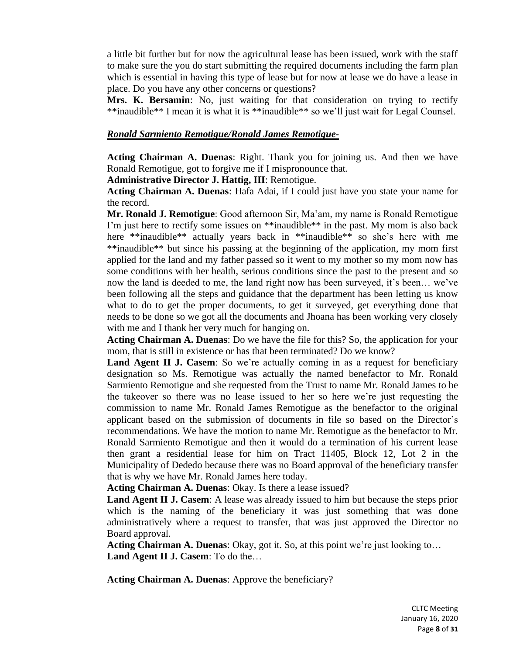a little bit further but for now the agricultural lease has been issued, work with the staff to make sure the you do start submitting the required documents including the farm plan which is essential in having this type of lease but for now at lease we do have a lease in place. Do you have any other concerns or questions?

**Mrs. K. Bersamin**: No, just waiting for that consideration on trying to rectify \*\*inaudible\*\* I mean it is what it is \*\*inaudible\*\* so we'll just wait for Legal Counsel.

#### *Ronald Sarmiento Remotigue/Ronald James Remotigue-*

**Acting Chairman A. Duenas**: Right. Thank you for joining us. And then we have Ronald Remotigue, got to forgive me if I mispronounce that.

**Administrative Director J. Hattig, III**: Remotigue.

**Acting Chairman A. Duenas**: Hafa Adai, if I could just have you state your name for the record.

**Mr. Ronald J. Remotigue**: Good afternoon Sir, Ma'am, my name is Ronald Remotigue I'm just here to rectify some issues on \*\*inaudible\*\* in the past. My mom is also back here \*\*inaudible\*\* actually years back in \*\*inaudible\*\* so she's here with me \*\*inaudible\*\* but since his passing at the beginning of the application, my mom first applied for the land and my father passed so it went to my mother so my mom now has some conditions with her health, serious conditions since the past to the present and so now the land is deeded to me, the land right now has been surveyed, it's been… we've been following all the steps and guidance that the department has been letting us know what to do to get the proper documents, to get it surveyed, get everything done that needs to be done so we got all the documents and Jhoana has been working very closely with me and I thank her very much for hanging on.

**Acting Chairman A. Duenas**: Do we have the file for this? So, the application for your mom, that is still in existence or has that been terminated? Do we know?

**Land Agent II J. Casem**: So we're actually coming in as a request for beneficiary designation so Ms. Remotigue was actually the named benefactor to Mr. Ronald Sarmiento Remotigue and she requested from the Trust to name Mr. Ronald James to be the takeover so there was no lease issued to her so here we're just requesting the commission to name Mr. Ronald James Remotigue as the benefactor to the original applicant based on the submission of documents in file so based on the Director's recommendations. We have the motion to name Mr. Remotigue as the benefactor to Mr. Ronald Sarmiento Remotigue and then it would do a termination of his current lease then grant a residential lease for him on Tract 11405, Block 12, Lot 2 in the Municipality of Dededo because there was no Board approval of the beneficiary transfer that is why we have Mr. Ronald James here today.

**Acting Chairman A. Duenas**: Okay. Is there a lease issued?

**Land Agent II J. Casem**: A lease was already issued to him but because the steps prior which is the naming of the beneficiary it was just something that was done administratively where a request to transfer, that was just approved the Director no Board approval.

**Acting Chairman A. Duenas**: Okay, got it. So, at this point we're just looking to… **Land Agent II J. Casem**: To do the…

**Acting Chairman A. Duenas**: Approve the beneficiary?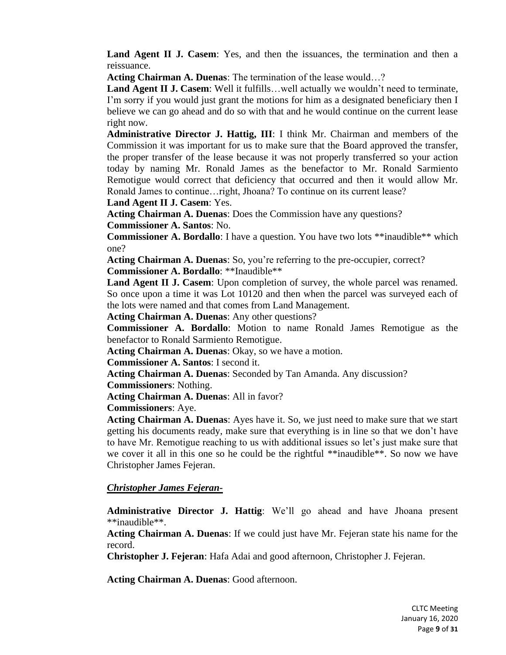**Land Agent II J. Casem**: Yes, and then the issuances, the termination and then a reissuance.

**Acting Chairman A. Duenas**: The termination of the lease would…?

**Land Agent II J. Casem**: Well it fulfills…well actually we wouldn't need to terminate, I'm sorry if you would just grant the motions for him as a designated beneficiary then I believe we can go ahead and do so with that and he would continue on the current lease right now.

**Administrative Director J. Hattig, III**: I think Mr. Chairman and members of the Commission it was important for us to make sure that the Board approved the transfer, the proper transfer of the lease because it was not properly transferred so your action today by naming Mr. Ronald James as the benefactor to Mr. Ronald Sarmiento Remotigue would correct that deficiency that occurred and then it would allow Mr. Ronald James to continue…right, Jhoana? To continue on its current lease?

**Land Agent II J. Casem**: Yes.

**Acting Chairman A. Duenas**: Does the Commission have any questions? **Commissioner A. Santos**: No.

**Commissioner A. Bordallo**: I have a question. You have two lots \*\*inaudible\*\* which one?

**Acting Chairman A. Duenas**: So, you're referring to the pre-occupier, correct? **Commissioner A. Bordallo**: \*\*Inaudible\*\*

**Land Agent II J. Casem**: Upon completion of survey, the whole parcel was renamed. So once upon a time it was Lot 10120 and then when the parcel was surveyed each of the lots were named and that comes from Land Management.

**Acting Chairman A. Duenas**: Any other questions?

**Commissioner A. Bordallo**: Motion to name Ronald James Remotigue as the benefactor to Ronald Sarmiento Remotigue.

**Acting Chairman A. Duenas**: Okay, so we have a motion.

**Commissioner A. Santos**: I second it.

**Acting Chairman A. Duenas**: Seconded by Tan Amanda. Any discussion?

**Commissioners**: Nothing.

**Acting Chairman A. Duenas**: All in favor?

**Commissioners**: Aye.

**Acting Chairman A. Duenas**: Ayes have it. So, we just need to make sure that we start getting his documents ready, make sure that everything is in line so that we don't have to have Mr. Remotigue reaching to us with additional issues so let's just make sure that we cover it all in this one so he could be the rightful \*\*inaudible\*\*. So now we have Christopher James Fejeran.

## *Christopher James Fejeran-*

**Administrative Director J. Hattig**: We'll go ahead and have Jhoana present \*\*inaudible\*\*.

**Acting Chairman A. Duenas**: If we could just have Mr. Fejeran state his name for the record.

**Christopher J. Fejeran**: Hafa Adai and good afternoon, Christopher J. Fejeran.

**Acting Chairman A. Duenas**: Good afternoon.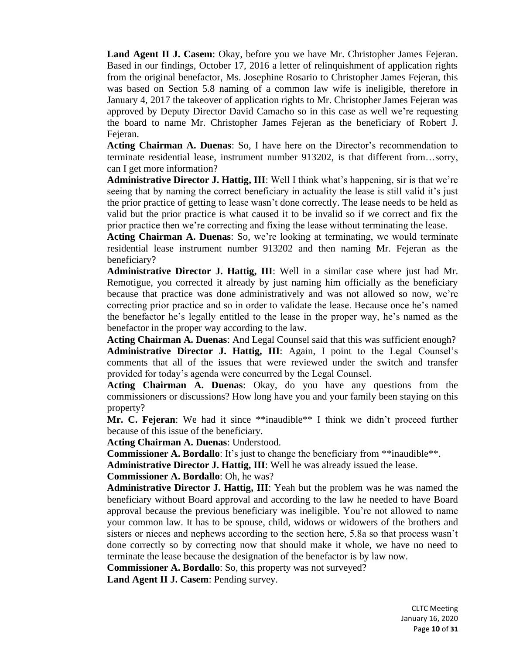**Land Agent II J. Casem**: Okay, before you we have Mr. Christopher James Fejeran. Based in our findings, October 17, 2016 a letter of relinquishment of application rights from the original benefactor, Ms. Josephine Rosario to Christopher James Fejeran, this was based on Section 5.8 naming of a common law wife is ineligible, therefore in January 4, 2017 the takeover of application rights to Mr. Christopher James Fejeran was approved by Deputy Director David Camacho so in this case as well we're requesting the board to name Mr. Christopher James Fejeran as the beneficiary of Robert J. Fejeran.

**Acting Chairman A. Duenas**: So, I have here on the Director's recommendation to terminate residential lease, instrument number 913202, is that different from…sorry, can I get more information?

**Administrative Director J. Hattig, III**: Well I think what's happening, sir is that we're seeing that by naming the correct beneficiary in actuality the lease is still valid it's just the prior practice of getting to lease wasn't done correctly. The lease needs to be held as valid but the prior practice is what caused it to be invalid so if we correct and fix the prior practice then we're correcting and fixing the lease without terminating the lease.

**Acting Chairman A. Duenas**: So, we're looking at terminating, we would terminate residential lease instrument number 913202 and then naming Mr. Fejeran as the beneficiary?

**Administrative Director J. Hattig, III**: Well in a similar case where just had Mr. Remotigue, you corrected it already by just naming him officially as the beneficiary because that practice was done administratively and was not allowed so now, we're correcting prior practice and so in order to validate the lease. Because once he's named the benefactor he's legally entitled to the lease in the proper way, he's named as the benefactor in the proper way according to the law.

**Acting Chairman A. Duenas**: And Legal Counsel said that this was sufficient enough? **Administrative Director J. Hattig, III**: Again, I point to the Legal Counsel's comments that all of the issues that were reviewed under the switch and transfer provided for today's agenda were concurred by the Legal Counsel.

**Acting Chairman A. Duenas**: Okay, do you have any questions from the commissioners or discussions? How long have you and your family been staying on this property?

**Mr. C. Fejeran**: We had it since \*\*inaudible\*\* I think we didn't proceed further because of this issue of the beneficiary.

**Acting Chairman A. Duenas**: Understood.

**Commissioner A. Bordallo**: It's just to change the beneficiary from \*\*inaudible\*\*.

**Administrative Director J. Hattig, III**: Well he was already issued the lease.

**Commissioner A. Bordallo**: Oh, he was?

**Administrative Director J. Hattig, III**: Yeah but the problem was he was named the beneficiary without Board approval and according to the law he needed to have Board approval because the previous beneficiary was ineligible. You're not allowed to name your common law. It has to be spouse, child, widows or widowers of the brothers and sisters or nieces and nephews according to the section here, 5.8a so that process wasn't done correctly so by correcting now that should make it whole, we have no need to terminate the lease because the designation of the benefactor is by law now.

**Commissioner A. Bordallo**: So, this property was not surveyed?

**Land Agent II J. Casem**: Pending survey.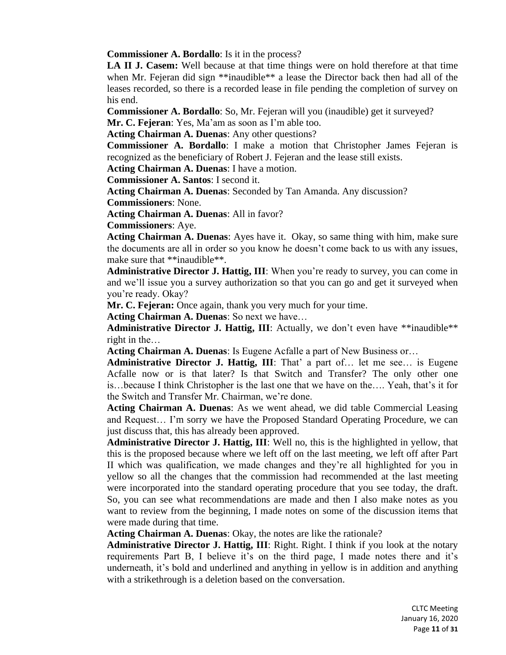**Commissioner A. Bordallo**: Is it in the process?

**LA II J. Casem:** Well because at that time things were on hold therefore at that time when Mr. Fejeran did sign \*\*inaudible\*\* a lease the Director back then had all of the leases recorded, so there is a recorded lease in file pending the completion of survey on his end.

**Commissioner A. Bordallo**: So, Mr. Fejeran will you (inaudible) get it surveyed? **Mr. C. Fejeran**: Yes, Ma'am as soon as I'm able too.

**Acting Chairman A. Duenas**: Any other questions?

**Commissioner A. Bordallo**: I make a motion that Christopher James Fejeran is recognized as the beneficiary of Robert J. Fejeran and the lease still exists.

**Acting Chairman A. Duenas**: I have a motion.

**Commissioner A. Santos**: I second it.

**Acting Chairman A. Duenas**: Seconded by Tan Amanda. Any discussion? **Commissioners**: None.

**Acting Chairman A. Duenas**: All in favor?

**Commissioners**: Aye.

**Acting Chairman A. Duenas**: Ayes have it. Okay, so same thing with him, make sure the documents are all in order so you know he doesn't come back to us with any issues, make sure that \*\*inaudible\*\*.

Administrative Director J. Hattig, III: When you're ready to survey, you can come in and we'll issue you a survey authorization so that you can go and get it surveyed when you're ready. Okay?

**Mr. C. Fejeran:** Once again, thank you very much for your time.

**Acting Chairman A. Duenas**: So next we have…

**Administrative Director J. Hattig, III:** Actually, we don't even have \*\*inaudible\*\* right in the…

**Acting Chairman A. Duenas**: Is Eugene Acfalle a part of New Business or…

**Administrative Director J. Hattig, III**: That' a part of… let me see… is Eugene Acfalle now or is that later? Is that Switch and Transfer? The only other one is…because I think Christopher is the last one that we have on the…. Yeah, that's it for the Switch and Transfer Mr. Chairman, we're done.

**Acting Chairman A. Duenas**: As we went ahead, we did table Commercial Leasing and Request… I'm sorry we have the Proposed Standard Operating Procedure, we can just discuss that, this has already been approved.

**Administrative Director J. Hattig, III**: Well no, this is the highlighted in yellow, that this is the proposed because where we left off on the last meeting, we left off after Part II which was qualification, we made changes and they're all highlighted for you in yellow so all the changes that the commission had recommended at the last meeting were incorporated into the standard operating procedure that you see today, the draft. So, you can see what recommendations are made and then I also make notes as you want to review from the beginning, I made notes on some of the discussion items that were made during that time.

**Acting Chairman A. Duenas**: Okay, the notes are like the rationale?

**Administrative Director J. Hattig, III**: Right. Right. I think if you look at the notary requirements Part B, I believe it's on the third page, I made notes there and it's underneath, it's bold and underlined and anything in yellow is in addition and anything with a strikethrough is a deletion based on the conversation.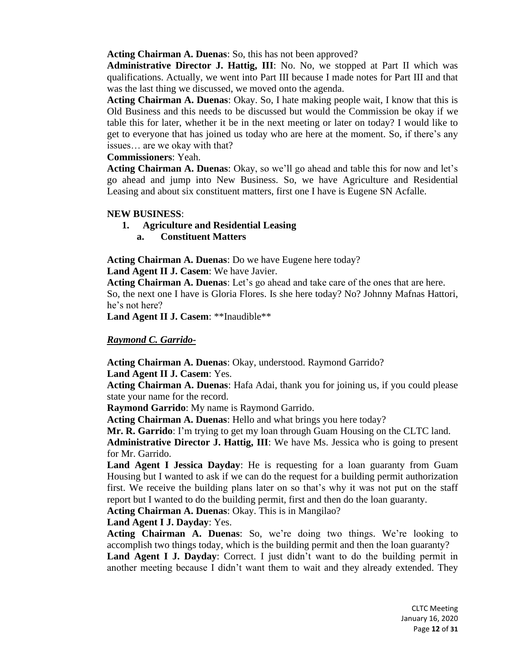**Acting Chairman A. Duenas**: So, this has not been approved?

**Administrative Director J. Hattig, III**: No. No, we stopped at Part II which was qualifications. Actually, we went into Part III because I made notes for Part III and that was the last thing we discussed, we moved onto the agenda.

**Acting Chairman A. Duenas**: Okay. So, I hate making people wait, I know that this is Old Business and this needs to be discussed but would the Commission be okay if we table this for later, whether it be in the next meeting or later on today? I would like to get to everyone that has joined us today who are here at the moment. So, if there's any issues… are we okay with that?

**Commissioners**: Yeah.

**Acting Chairman A. Duenas**: Okay, so we'll go ahead and table this for now and let's go ahead and jump into New Business. So, we have Agriculture and Residential Leasing and about six constituent matters, first one I have is Eugene SN Acfalle.

### **NEW BUSINESS**:

- **1. Agriculture and Residential Leasing**
	- **a. Constituent Matters**

**Acting Chairman A. Duenas**: Do we have Eugene here today?

**Land Agent II J. Casem**: We have Javier.

**Acting Chairman A. Duenas**: Let's go ahead and take care of the ones that are here. So, the next one I have is Gloria Flores. Is she here today? No? Johnny Mafnas Hattori,

he's not here?

**Land Agent II J. Casem**: \*\*Inaudible\*\*

## *Raymond C. Garrido-*

**Acting Chairman A. Duenas**: Okay, understood. Raymond Garrido?

**Land Agent II J. Casem**: Yes.

**Acting Chairman A. Duenas**: Hafa Adai, thank you for joining us, if you could please state your name for the record.

**Raymond Garrido**: My name is Raymond Garrido.

**Acting Chairman A. Duenas**: Hello and what brings you here today?

**Mr. R. Garrido**: I'm trying to get my loan through Guam Housing on the CLTC land.

**Administrative Director J. Hattig, III**: We have Ms. Jessica who is going to present for Mr. Garrido.

**Land Agent I Jessica Dayday**: He is requesting for a loan guaranty from Guam Housing but I wanted to ask if we can do the request for a building permit authorization first. We receive the building plans later on so that's why it was not put on the staff report but I wanted to do the building permit, first and then do the loan guaranty.

**Acting Chairman A. Duenas**: Okay. This is in Mangilao?

## **Land Agent I J. Dayday**: Yes.

**Acting Chairman A. Duenas**: So, we're doing two things. We're looking to accomplish two things today, which is the building permit and then the loan guaranty?

**Land Agent I J. Dayday**: Correct. I just didn't want to do the building permit in another meeting because I didn't want them to wait and they already extended. They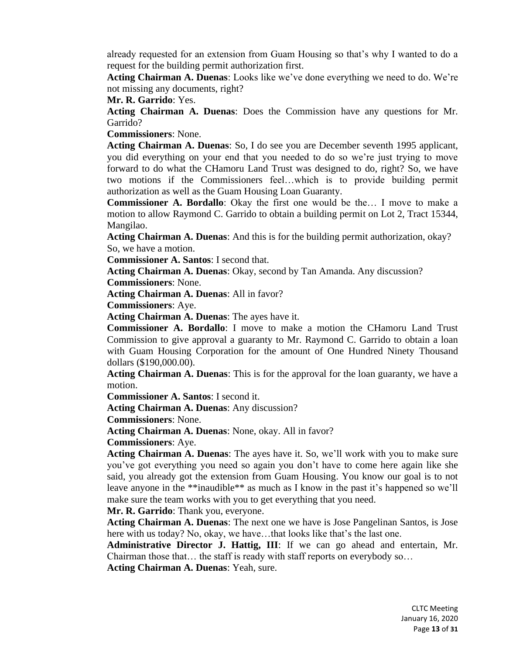already requested for an extension from Guam Housing so that's why I wanted to do a request for the building permit authorization first.

**Acting Chairman A. Duenas**: Looks like we've done everything we need to do. We're not missing any documents, right?

**Mr. R. Garrido**: Yes.

**Acting Chairman A. Duenas**: Does the Commission have any questions for Mr. Garrido?

**Commissioners**: None.

**Acting Chairman A. Duenas**: So, I do see you are December seventh 1995 applicant, you did everything on your end that you needed to do so we're just trying to move forward to do what the CHamoru Land Trust was designed to do, right? So, we have two motions if the Commissioners feel…which is to provide building permit authorization as well as the Guam Housing Loan Guaranty.

**Commissioner A. Bordallo**: Okay the first one would be the… I move to make a motion to allow Raymond C. Garrido to obtain a building permit on Lot 2, Tract 15344, Mangilao.

**Acting Chairman A. Duenas**: And this is for the building permit authorization, okay? So, we have a motion.

**Commissioner A. Santos**: I second that.

**Acting Chairman A. Duenas**: Okay, second by Tan Amanda. Any discussion?

**Commissioners**: None.

**Acting Chairman A. Duenas**: All in favor?

**Commissioners**: Aye.

**Acting Chairman A. Duenas**: The ayes have it.

**Commissioner A. Bordallo**: I move to make a motion the CHamoru Land Trust Commission to give approval a guaranty to Mr. Raymond C. Garrido to obtain a loan with Guam Housing Corporation for the amount of One Hundred Ninety Thousand dollars (\$190,000.00).

**Acting Chairman A. Duenas**: This is for the approval for the loan guaranty, we have a motion.

**Commissioner A. Santos**: I second it.

**Acting Chairman A. Duenas**: Any discussion?

**Commissioners**: None.

**Acting Chairman A. Duenas**: None, okay. All in favor?

**Commissioners**: Aye.

**Acting Chairman A. Duenas**: The ayes have it. So, we'll work with you to make sure you've got everything you need so again you don't have to come here again like she said, you already got the extension from Guam Housing. You know our goal is to not leave anyone in the \*\*inaudible\*\* as much as I know in the past it's happened so we'll make sure the team works with you to get everything that you need.

**Mr. R. Garrido**: Thank you, everyone.

**Acting Chairman A. Duenas**: The next one we have is Jose Pangelinan Santos, is Jose here with us today? No, okay, we have...that looks like that's the last one.

**Administrative Director J. Hattig, III**: If we can go ahead and entertain, Mr. Chairman those that… the staff is ready with staff reports on everybody so…

**Acting Chairman A. Duenas**: Yeah, sure.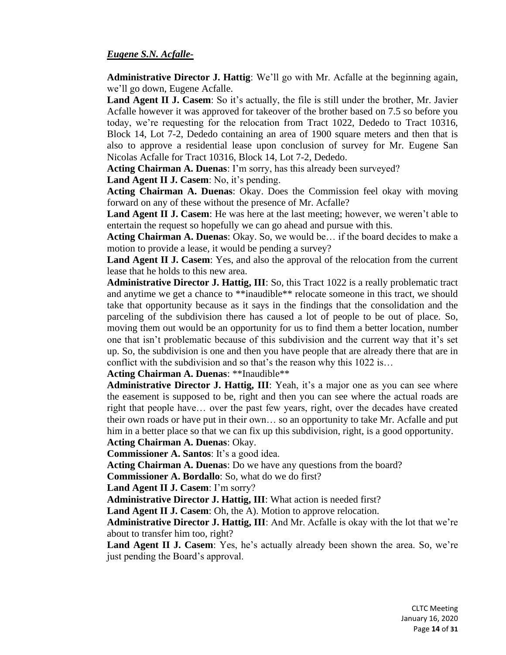### *Eugene S.N. Acfalle-*

**Administrative Director J. Hattig**: We'll go with Mr. Acfalle at the beginning again, we'll go down, Eugene Acfalle.

**Land Agent II J. Casem**: So it's actually, the file is still under the brother, Mr. Javier Acfalle however it was approved for takeover of the brother based on 7.5 so before you today, we're requesting for the relocation from Tract 1022, Dededo to Tract 10316, Block 14, Lot 7-2, Dededo containing an area of 1900 square meters and then that is also to approve a residential lease upon conclusion of survey for Mr. Eugene San Nicolas Acfalle for Tract 10316, Block 14, Lot 7-2, Dededo.

**Acting Chairman A. Duenas**: I'm sorry, has this already been surveyed?

**Land Agent II J. Casem**: No, it's pending.

**Acting Chairman A. Duenas**: Okay. Does the Commission feel okay with moving forward on any of these without the presence of Mr. Acfalle?

**Land Agent II J. Casem**: He was here at the last meeting; however, we weren't able to entertain the request so hopefully we can go ahead and pursue with this.

**Acting Chairman A. Duenas**: Okay. So, we would be… if the board decides to make a motion to provide a lease, it would be pending a survey?

**Land Agent II J. Casem**: Yes, and also the approval of the relocation from the current lease that he holds to this new area.

**Administrative Director J. Hattig, III**: So, this Tract 1022 is a really problematic tract and anytime we get a chance to \*\*inaudible\*\* relocate someone in this tract, we should take that opportunity because as it says in the findings that the consolidation and the parceling of the subdivision there has caused a lot of people to be out of place. So, moving them out would be an opportunity for us to find them a better location, number one that isn't problematic because of this subdivision and the current way that it's set up. So, the subdivision is one and then you have people that are already there that are in conflict with the subdivision and so that's the reason why this 1022 is…

**Acting Chairman A. Duenas**: \*\*Inaudible\*\*

**Administrative Director J. Hattig, III**: Yeah, it's a major one as you can see where the easement is supposed to be, right and then you can see where the actual roads are right that people have… over the past few years, right, over the decades have created their own roads or have put in their own… so an opportunity to take Mr. Acfalle and put him in a better place so that we can fix up this subdivision, right, is a good opportunity. **Acting Chairman A. Duenas**: Okay.

**Commissioner A. Santos**: It's a good idea.

**Acting Chairman A. Duenas**: Do we have any questions from the board?

**Commissioner A. Bordallo**: So, what do we do first?

**Land Agent II J. Casem**: I'm sorry?

**Administrative Director J. Hattig, III**: What action is needed first?

**Land Agent II J. Casem**: Oh, the A). Motion to approve relocation.

**Administrative Director J. Hattig, III**: And Mr. Acfalle is okay with the lot that we're about to transfer him too, right?

**Land Agent II J. Casem**: Yes, he's actually already been shown the area. So, we're just pending the Board's approval.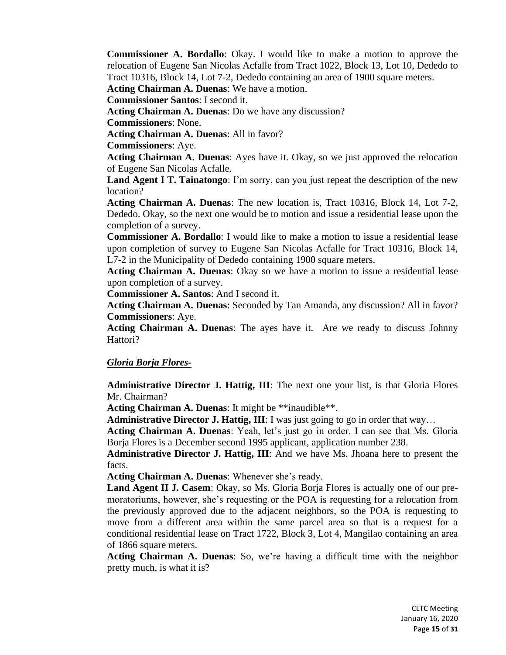**Commissioner A. Bordallo**: Okay. I would like to make a motion to approve the relocation of Eugene San Nicolas Acfalle from Tract 1022, Block 13, Lot 10, Dededo to Tract 10316, Block 14, Lot 7-2, Dededo containing an area of 1900 square meters.

**Acting Chairman A. Duenas**: We have a motion.

**Commissioner Santos**: I second it.

**Acting Chairman A. Duenas**: Do we have any discussion?

**Commissioners**: None.

**Acting Chairman A. Duenas**: All in favor?

**Commissioners**: Aye.

**Acting Chairman A. Duenas**: Ayes have it. Okay, so we just approved the relocation of Eugene San Nicolas Acfalle.

**Land Agent I T. Tainatongo**: I'm sorry, can you just repeat the description of the new location?

**Acting Chairman A. Duenas**: The new location is, Tract 10316, Block 14, Lot 7-2, Dededo. Okay, so the next one would be to motion and issue a residential lease upon the completion of a survey.

**Commissioner A. Bordallo**: I would like to make a motion to issue a residential lease upon completion of survey to Eugene San Nicolas Acfalle for Tract 10316, Block 14, L7-2 in the Municipality of Dededo containing 1900 square meters.

**Acting Chairman A. Duenas**: Okay so we have a motion to issue a residential lease upon completion of a survey.

**Commissioner A. Santos**: And I second it.

**Acting Chairman A. Duenas**: Seconded by Tan Amanda, any discussion? All in favor? **Commissioners**: Aye.

**Acting Chairman A. Duenas**: The ayes have it. Are we ready to discuss Johnny Hattori?

### *Gloria Borja Flores-*

**Administrative Director J. Hattig, III**: The next one your list, is that Gloria Flores Mr. Chairman?

**Acting Chairman A. Duenas**: It might be \*\*inaudible\*\*.

**Administrative Director J. Hattig, III**: I was just going to go in order that way...

**Acting Chairman A. Duenas**: Yeah, let's just go in order. I can see that Ms. Gloria Borja Flores is a December second 1995 applicant, application number 238.

**Administrative Director J. Hattig, III**: And we have Ms. Jhoana here to present the facts.

**Acting Chairman A. Duenas**: Whenever she's ready.

**Land Agent II J. Casem**: Okay, so Ms. Gloria Borja Flores is actually one of our premoratoriums, however, she's requesting or the POA is requesting for a relocation from the previously approved due to the adjacent neighbors, so the POA is requesting to move from a different area within the same parcel area so that is a request for a conditional residential lease on Tract 1722, Block 3, Lot 4, Mangilao containing an area of 1866 square meters.

**Acting Chairman A. Duenas**: So, we're having a difficult time with the neighbor pretty much, is what it is?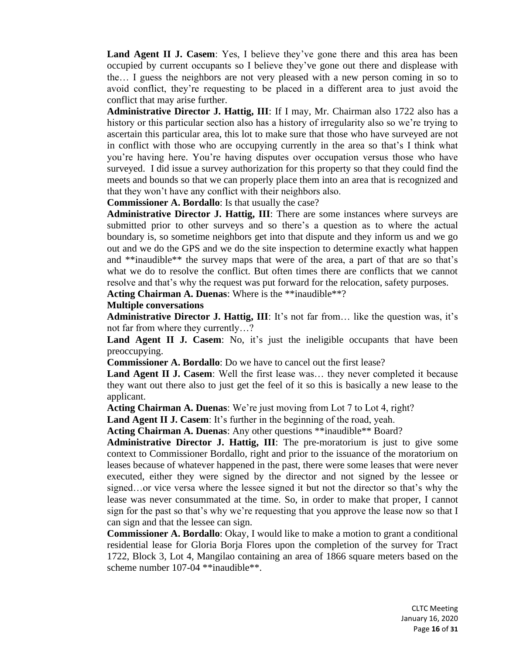**Land Agent II J. Casem**: Yes, I believe they've gone there and this area has been occupied by current occupants so I believe they've gone out there and displease with the… I guess the neighbors are not very pleased with a new person coming in so to avoid conflict, they're requesting to be placed in a different area to just avoid the conflict that may arise further.

**Administrative Director J. Hattig, III**: If I may, Mr. Chairman also 1722 also has a history or this particular section also has a history of irregularity also so we're trying to ascertain this particular area, this lot to make sure that those who have surveyed are not in conflict with those who are occupying currently in the area so that's I think what you're having here. You're having disputes over occupation versus those who have surveyed. I did issue a survey authorization for this property so that they could find the meets and bounds so that we can properly place them into an area that is recognized and that they won't have any conflict with their neighbors also.

**Commissioner A. Bordallo**: Is that usually the case?

**Administrative Director J. Hattig, III**: There are some instances where surveys are submitted prior to other surveys and so there's a question as to where the actual boundary is, so sometime neighbors get into that dispute and they inform us and we go out and we do the GPS and we do the site inspection to determine exactly what happen and \*\*inaudible\*\* the survey maps that were of the area, a part of that are so that's what we do to resolve the conflict. But often times there are conflicts that we cannot resolve and that's why the request was put forward for the relocation, safety purposes.

**Acting Chairman A. Duenas**: Where is the \*\*inaudible\*\*?

#### **Multiple conversations**

**Administrative Director J. Hattig, III**: It's not far from… like the question was, it's not far from where they currently…?

**Land Agent II J. Casem**: No, it's just the ineligible occupants that have been preoccupying.

**Commissioner A. Bordallo**: Do we have to cancel out the first lease?

**Land Agent II J. Casem**: Well the first lease was… they never completed it because they want out there also to just get the feel of it so this is basically a new lease to the applicant.

**Acting Chairman A. Duenas**: We're just moving from Lot 7 to Lot 4, right?

**Land Agent II J. Casem**: It's further in the beginning of the road, yeah.

**Acting Chairman A. Duenas**: Any other questions \*\*inaudible\*\* Board?

**Administrative Director J. Hattig, III**: The pre-moratorium is just to give some context to Commissioner Bordallo, right and prior to the issuance of the moratorium on leases because of whatever happened in the past, there were some leases that were never executed, either they were signed by the director and not signed by the lessee or signed…or vice versa where the lessee signed it but not the director so that's why the lease was never consummated at the time. So, in order to make that proper, I cannot sign for the past so that's why we're requesting that you approve the lease now so that I can sign and that the lessee can sign.

**Commissioner A. Bordallo**: Okay, I would like to make a motion to grant a conditional residential lease for Gloria Borja Flores upon the completion of the survey for Tract 1722, Block 3, Lot 4, Mangilao containing an area of 1866 square meters based on the scheme number 107-04 \*\*inaudible\*\*.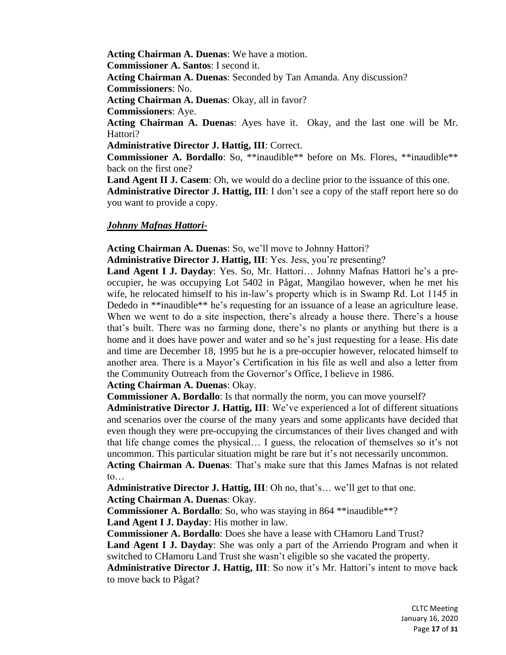**Acting Chairman A. Duenas**: We have a motion. **Commissioner A. Santos**: I second it. **Acting Chairman A. Duenas**: Seconded by Tan Amanda. Any discussion? **Commissioners**: No. **Acting Chairman A. Duenas**: Okay, all in favor? **Commissioners**: Aye. **Acting Chairman A. Duenas**: Ayes have it. Okay, and the last one will be Mr. Hattori? **Administrative Director J. Hattig, III**: Correct. **Commissioner A. Bordallo**: So, \*\*inaudible\*\* before on Ms. Flores, \*\*inaudible\*\* back on the first one? **Land Agent II J. Casem**: Oh, we would do a decline prior to the issuance of this one. **Administrative Director J. Hattig, III**: I don't see a copy of the staff report here so do you want to provide a copy.

### *Johnny Mafnas Hattori-*

**Acting Chairman A. Duenas**: So, we'll move to Johnny Hattori?

**Administrative Director J. Hattig, III**: Yes. Jess, you're presenting?

**Land Agent I J. Dayday**: Yes. So, Mr. Hattori… Johnny Mafnas Hattori he's a preoccupier, he was occupying Lot 5402 in Pågat, Mangilao however, when he met his wife, he relocated himself to his in-law's property which is in Swamp Rd. Lot 1145 in Dededo in \*\*inaudible\*\* he's requesting for an issuance of a lease an agriculture lease. When we went to do a site inspection, there's already a house there. There's a house that's built. There was no farming done, there's no plants or anything but there is a home and it does have power and water and so he's just requesting for a lease. His date and time are December 18, 1995 but he is a pre-occupier however, relocated himself to another area. There is a Mayor's Certification in his file as well and also a letter from the Community Outreach from the Governor's Office, I believe in 1986.

**Acting Chairman A. Duenas**: Okay.

**Commissioner A. Bordallo**: Is that normally the norm, you can move yourself?

**Administrative Director J. Hattig, III**: We've experienced a lot of different situations and scenarios over the course of the many years and some applicants have decided that even though they were pre-occupying the circumstances of their lives changed and with that life change comes the physical… I guess, the relocation of themselves so it's not uncommon. This particular situation might be rare but it's not necessarily uncommon.

**Acting Chairman A. Duenas**: That's make sure that this James Mafnas is not related to…

**Administrative Director J. Hattig, III**: Oh no, that's… we'll get to that one. **Acting Chairman A. Duenas**: Okay.

**Commissioner A. Bordallo**: So, who was staying in 864 \*\*inaudible\*\*? **Land Agent I J. Dayday**: His mother in law.

**Commissioner A. Bordallo**: Does she have a lease with CHamoru Land Trust? **Land Agent I J. Dayday**: She was only a part of the Arriendo Program and when it

switched to CHamoru Land Trust she wasn't eligible so she vacated the property.

**Administrative Director J. Hattig, III**: So now it's Mr. Hattori's intent to move back to move back to Pågat?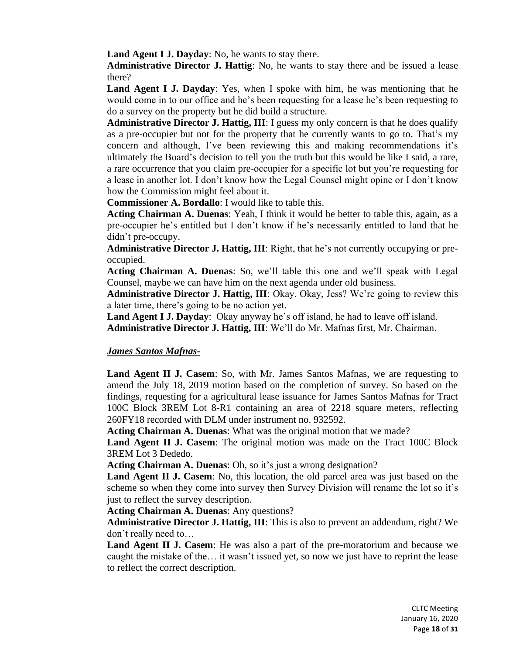**Land Agent I J. Dayday**: No, he wants to stay there.

**Administrative Director J. Hattig**: No, he wants to stay there and be issued a lease there?

**Land Agent I J. Dayday**: Yes, when I spoke with him, he was mentioning that he would come in to our office and he's been requesting for a lease he's been requesting to do a survey on the property but he did build a structure.

**Administrative Director J. Hattig, III**: I guess my only concern is that he does qualify as a pre-occupier but not for the property that he currently wants to go to. That's my concern and although, I've been reviewing this and making recommendations it's ultimately the Board's decision to tell you the truth but this would be like I said, a rare, a rare occurrence that you claim pre-occupier for a specific lot but you're requesting for a lease in another lot. I don't know how the Legal Counsel might opine or I don't know how the Commission might feel about it.

**Commissioner A. Bordallo**: I would like to table this.

**Acting Chairman A. Duenas**: Yeah, I think it would be better to table this, again, as a pre-occupier he's entitled but I don't know if he's necessarily entitled to land that he didn't pre-occupy.

**Administrative Director J. Hattig, III**: Right, that he's not currently occupying or preoccupied.

**Acting Chairman A. Duenas**: So, we'll table this one and we'll speak with Legal Counsel, maybe we can have him on the next agenda under old business.

**Administrative Director J. Hattig, III**: Okay. Okay, Jess? We're going to review this a later time, there's going to be no action yet.

**Land Agent I J. Dayday**: Okay anyway he's off island, he had to leave off island.

**Administrative Director J. Hattig, III**: We'll do Mr. Mafnas first, Mr. Chairman.

#### *James Santos Mafnas-*

**Land Agent II J. Casem**: So, with Mr. James Santos Mafnas, we are requesting to amend the July 18, 2019 motion based on the completion of survey. So based on the findings, requesting for a agricultural lease issuance for James Santos Mafnas for Tract 100C Block 3REM Lot 8-R1 containing an area of 2218 square meters, reflecting 260FY18 recorded with DLM under instrument no. 932592.

**Acting Chairman A. Duenas**: What was the original motion that we made?

**Land Agent II J. Casem**: The original motion was made on the Tract 100C Block 3REM Lot 3 Dededo.

**Acting Chairman A. Duenas**: Oh, so it's just a wrong designation?

**Land Agent II J. Casem**: No, this location, the old parcel area was just based on the scheme so when they come into survey then Survey Division will rename the lot so it's just to reflect the survey description.

**Acting Chairman A. Duenas**: Any questions?

**Administrative Director J. Hattig, III**: This is also to prevent an addendum, right? We don't really need to…

**Land Agent II J. Casem**: He was also a part of the pre-moratorium and because we caught the mistake of the… it wasn't issued yet, so now we just have to reprint the lease to reflect the correct description.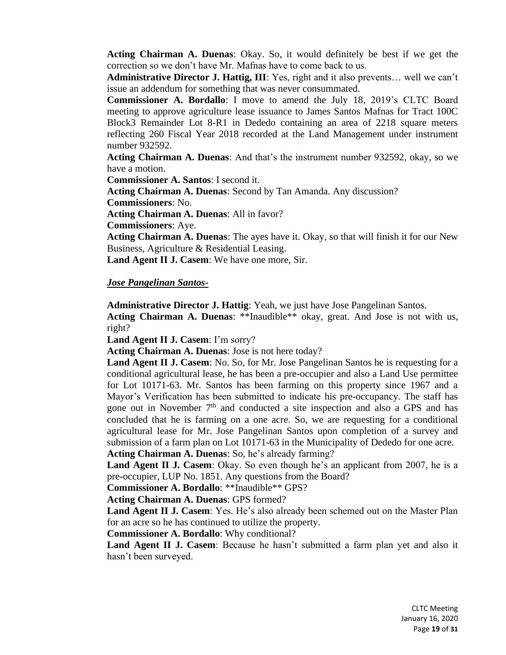**Acting Chairman A. Duenas**: Okay. So, it would definitely be best if we get the correction so we don't have Mr. Mafnas have to come back to us.

**Administrative Director J. Hattig, III**: Yes, right and it also prevents… well we can't issue an addendum for something that was never consummated.

**Commissioner A. Bordallo**: I move to amend the July 18, 2019's CLTC Board meeting to approve agriculture lease issuance to James Santos Mafnas for Tract 100C Block3 Remainder Lot 8-R1 in Dededo containing an area of 2218 square meters reflecting 260 Fiscal Year 2018 recorded at the Land Management under instrument number 932592.

**Acting Chairman A. Duenas**: And that's the instrument number 932592, okay, so we have a motion.

**Commissioner A. Santos**: I second it.

**Acting Chairman A. Duenas**: Second by Tan Amanda. Any discussion?

**Commissioners**: No.

**Acting Chairman A. Duenas**: All in favor?

**Commissioners**: Aye.

**Acting Chairman A. Duenas**: The ayes have it. Okay, so that will finish it for our New Business, Agriculture & Residential Leasing.

**Land Agent II J. Casem**: We have one more, Sir.

#### *Jose Pangelinan Santos-*

**Administrative Director J. Hattig**: Yeah, we just have Jose Pangelinan Santos.

**Acting Chairman A. Duenas**: \*\*Inaudible\*\* okay, great. And Jose is not with us, right?

**Land Agent II J. Casem**: I'm sorry?

**Acting Chairman A. Duenas**: Jose is not here today?

**Land Agent II J. Casem**: No. So, for Mr. Jose Pangelinan Santos he is requesting for a conditional agricultural lease, he has been a pre-occupier and also a Land Use permittee for Lot 10171-63. Mr. Santos has been farming on this property since 1967 and a Mayor's Verification has been submitted to indicate his pre-occupancy. The staff has gone out in November  $7<sup>th</sup>$  and conducted a site inspection and also a GPS and has concluded that he is farming on a one acre. So, we are requesting for a conditional agricultural lease for Mr. Jose Pangelinan Santos upon completion of a survey and submission of a farm plan on Lot 10171-63 in the Municipality of Dededo for one acre.

**Acting Chairman A. Duenas**: So, he's already farming?

**Land Agent II J. Casem**: Okay. So even though he's an applicant from 2007, he is a pre-occupier, LUP No. 1851. Any questions from the Board?

**Commissioner A. Bordallo**: \*\*Inaudible\*\* GPS?

**Acting Chairman A. Duenas**: GPS formed?

**Land Agent II J. Casem**: Yes. He's also already been schemed out on the Master Plan for an acre so he has continued to utilize the property.

**Commissioner A. Bordallo**: Why conditional?

**Land Agent II J. Casem**: Because he hasn't submitted a farm plan yet and also it hasn't been surveyed.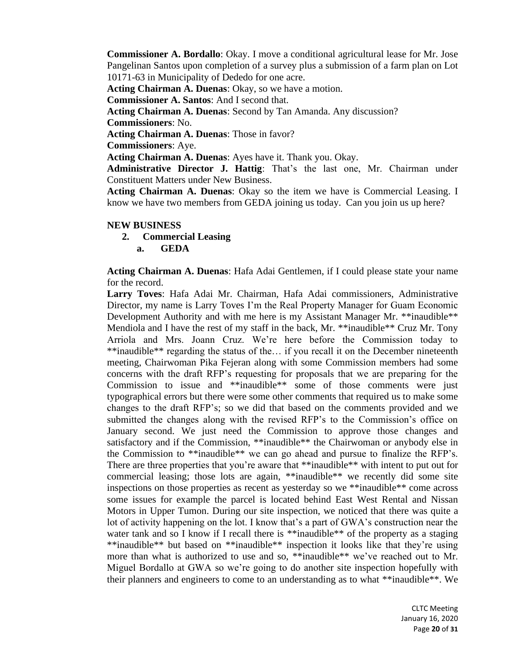**Commissioner A. Bordallo**: Okay. I move a conditional agricultural lease for Mr. Jose Pangelinan Santos upon completion of a survey plus a submission of a farm plan on Lot 10171-63 in Municipality of Dededo for one acre.

**Acting Chairman A. Duenas**: Okay, so we have a motion.

**Commissioner A. Santos**: And I second that.

**Acting Chairman A. Duenas**: Second by Tan Amanda. Any discussion?

**Commissioners**: No.

**Acting Chairman A. Duenas**: Those in favor?

**Commissioners**: Aye.

**Acting Chairman A. Duenas**: Ayes have it. Thank you. Okay.

**Administrative Director J. Hattig**: That's the last one, Mr. Chairman under Constituent Matters under New Business.

**Acting Chairman A. Duenas**: Okay so the item we have is Commercial Leasing. I know we have two members from GEDA joining us today. Can you join us up here?

### **NEW BUSINESS**

- **2. Commercial Leasing**
	- **a. GEDA**

**Acting Chairman A. Duenas**: Hafa Adai Gentlemen, if I could please state your name for the record.

**Larry Toves**: Hafa Adai Mr. Chairman, Hafa Adai commissioners, Administrative Director, my name is Larry Toves I'm the Real Property Manager for Guam Economic Development Authority and with me here is my Assistant Manager Mr. \*\*inaudible\*\* Mendiola and I have the rest of my staff in the back, Mr. \*\*inaudible\*\* Cruz Mr. Tony Arriola and Mrs. Joann Cruz. We're here before the Commission today to \*\*inaudible\*\* regarding the status of the… if you recall it on the December nineteenth meeting, Chairwoman Pika Fejeran along with some Commission members had some concerns with the draft RFP's requesting for proposals that we are preparing for the Commission to issue and \*\*inaudible\*\* some of those comments were just typographical errors but there were some other comments that required us to make some changes to the draft RFP's; so we did that based on the comments provided and we submitted the changes along with the revised RFP's to the Commission's office on January second. We just need the Commission to approve those changes and satisfactory and if the Commission, \*\*inaudible\*\* the Chairwoman or anybody else in the Commission to \*\*inaudible\*\* we can go ahead and pursue to finalize the RFP's. There are three properties that you're aware that \*\*inaudible\*\* with intent to put out for commercial leasing; those lots are again, \*\*inaudible\*\* we recently did some site inspections on those properties as recent as yesterday so we \*\*inaudible\*\* come across some issues for example the parcel is located behind East West Rental and Nissan Motors in Upper Tumon. During our site inspection, we noticed that there was quite a lot of activity happening on the lot. I know that's a part of GWA's construction near the water tank and so I know if I recall there is \*\*inaudible\*\* of the property as a staging \*\*inaudible\*\* but based on \*\*inaudible\*\* inspection it looks like that they're using more than what is authorized to use and so, \*\*inaudible\*\* we've reached out to Mr. Miguel Bordallo at GWA so we're going to do another site inspection hopefully with their planners and engineers to come to an understanding as to what \*\*inaudible\*\*. We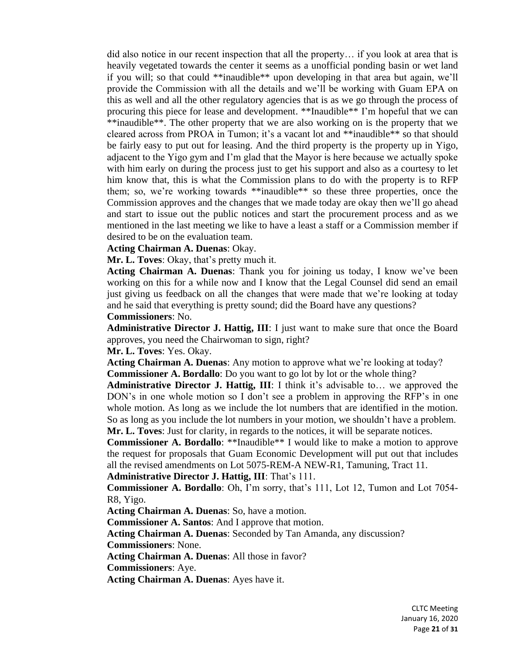did also notice in our recent inspection that all the property… if you look at area that is heavily vegetated towards the center it seems as a unofficial ponding basin or wet land if you will; so that could \*\*inaudible\*\* upon developing in that area but again, we'll provide the Commission with all the details and we'll be working with Guam EPA on this as well and all the other regulatory agencies that is as we go through the process of procuring this piece for lease and development. \*\*Inaudible\*\* I'm hopeful that we can \*\*inaudible\*\*. The other property that we are also working on is the property that we cleared across from PROA in Tumon; it's a vacant lot and \*\*inaudible\*\* so that should be fairly easy to put out for leasing. And the third property is the property up in Yigo, adjacent to the Yigo gym and I'm glad that the Mayor is here because we actually spoke with him early on during the process just to get his support and also as a courtesy to let him know that, this is what the Commission plans to do with the property is to RFP them; so, we're working towards \*\*inaudible\*\* so these three properties, once the Commission approves and the changes that we made today are okay then we'll go ahead and start to issue out the public notices and start the procurement process and as we mentioned in the last meeting we like to have a least a staff or a Commission member if desired to be on the evaluation team.

#### **Acting Chairman A. Duenas**: Okay.

**Mr. L. Toves**: Okay, that's pretty much it.

**Acting Chairman A. Duenas**: Thank you for joining us today, I know we've been working on this for a while now and I know that the Legal Counsel did send an email just giving us feedback on all the changes that were made that we're looking at today and he said that everything is pretty sound; did the Board have any questions? **Commissioners**: No.

**Administrative Director J. Hattig, III**: I just want to make sure that once the Board approves, you need the Chairwoman to sign, right?

**Mr. L. Toves**: Yes. Okay.

**Acting Chairman A. Duenas**: Any motion to approve what we're looking at today? **Commissioner A. Bordallo**: Do you want to go lot by lot or the whole thing?

**Administrative Director J. Hattig, III**: I think it's advisable to… we approved the DON's in one whole motion so I don't see a problem in approving the RFP's in one whole motion. As long as we include the lot numbers that are identified in the motion. So as long as you include the lot numbers in your motion, we shouldn't have a problem. **Mr. L. Toves**: Just for clarity, in regards to the notices, it will be separate notices.

**Commissioner A. Bordallo:** \*\*Inaudible\*\* I would like to make a motion to approve the request for proposals that Guam Economic Development will put out that includes all the revised amendments on Lot 5075-REM-A NEW-R1, Tamuning, Tract 11.

**Administrative Director J. Hattig, III**: That's 111.

**Commissioner A. Bordallo**: Oh, I'm sorry, that's 111, Lot 12, Tumon and Lot 7054- R8, Yigo.

**Acting Chairman A. Duenas**: So, have a motion.

**Commissioner A. Santos**: And I approve that motion.

**Acting Chairman A. Duenas**: Seconded by Tan Amanda, any discussion?

**Commissioners**: None.

**Acting Chairman A. Duenas**: All those in favor?

**Commissioners**: Aye.

**Acting Chairman A. Duenas**: Ayes have it.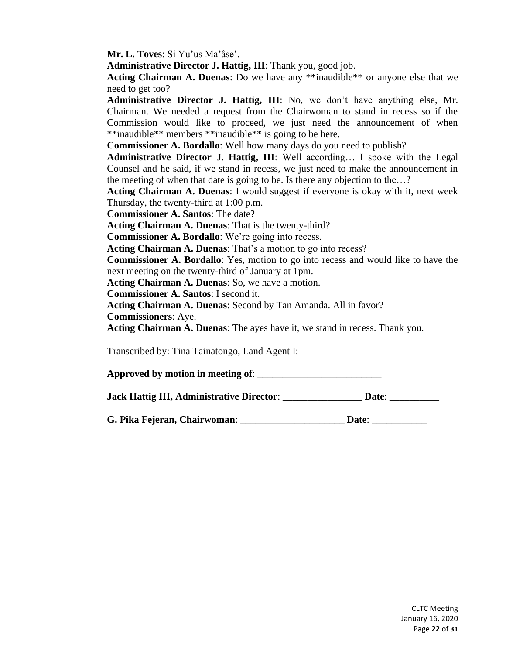**Mr. L. Toves**: Si Yu'us Ma'åse'.

**Administrative Director J. Hattig, III**: Thank you, good job.

**Acting Chairman A. Duenas**: Do we have any \*\*inaudible\*\* or anyone else that we need to get too?

**Administrative Director J. Hattig, III**: No, we don't have anything else, Mr. Chairman. We needed a request from the Chairwoman to stand in recess so if the Commission would like to proceed, we just need the announcement of when \*\*inaudible\*\* members \*\*inaudible\*\* is going to be here.

**Commissioner A. Bordallo**: Well how many days do you need to publish?

**Administrative Director J. Hattig, III**: Well according… I spoke with the Legal Counsel and he said, if we stand in recess, we just need to make the announcement in the meeting of when that date is going to be. Is there any objection to the…?

**Acting Chairman A. Duenas**: I would suggest if everyone is okay with it, next week Thursday, the twenty-third at 1:00 p.m.

**Commissioner A. Santos**: The date?

**Acting Chairman A. Duenas**: That is the twenty-third?

**Commissioner A. Bordallo**: We're going into recess.

**Acting Chairman A. Duenas**: That's a motion to go into recess?

**Commissioner A. Bordallo**: Yes, motion to go into recess and would like to have the next meeting on the twenty-third of January at 1pm.

**Acting Chairman A. Duenas**: So, we have a motion.

**Commissioner A. Santos**: I second it.

**Acting Chairman A. Duenas**: Second by Tan Amanda. All in favor?

**Commissioners**: Aye.

**Acting Chairman A. Duenas**: The ayes have it, we stand in recess. Thank you.

Transcribed by: Tina Tainatongo, Land Agent I: \_\_\_\_\_\_\_\_\_\_\_\_\_\_\_\_\_

**Approved by motion in meeting of**: \_\_\_\_\_\_\_\_\_\_\_\_\_\_\_\_\_\_\_\_\_\_\_\_\_

**Jack Hattig III, Administrative Director**: \_\_\_\_\_\_\_\_\_\_\_\_\_\_\_\_ **Date**: \_\_\_\_\_\_\_\_\_\_

**G. Pika Fejeran, Chairwoman**: \_\_\_\_\_\_\_\_\_\_\_\_\_\_\_\_\_\_\_\_\_ **Date**: \_\_\_\_\_\_\_\_\_\_\_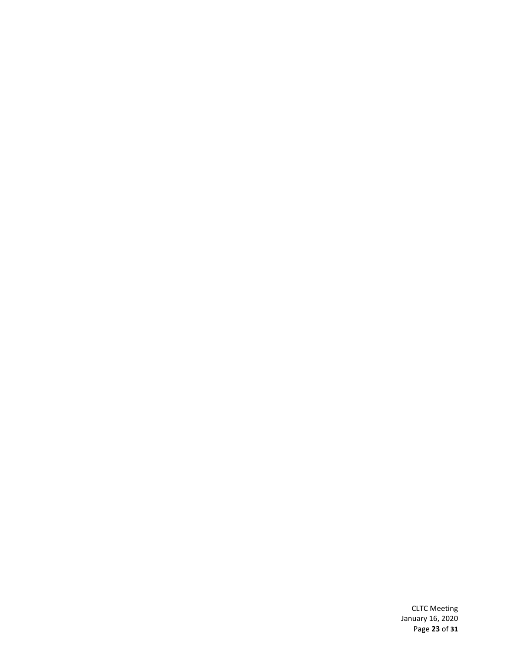CLTC Meeting January 16, 2020 Page **23** of **31**